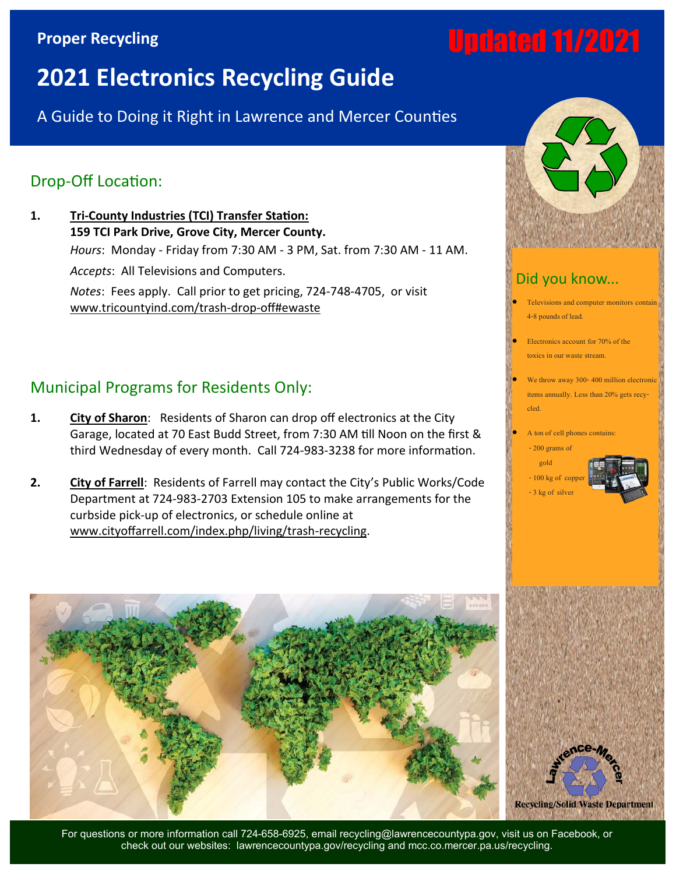## **Proper Recycling**

# Updated 11/2021

## **2021 Electronics Recycling Guide**

A Guide to Doing it Right in Lawrence and Mercer Counties

## Drop-Off Location:

**1. Tri-County Industries (TCI) Transfer Station: 159 TCI Park Drive, Grove City, Mercer County.** *Hours*: Monday - Friday from 7:30 AM - 3 PM, Sat. from 7:30 AM - 11 AM. *Accepts*: All Televisions and Computers. *Notes*: Fees apply. Call prior to get pricing, 724-748-4705, or visit www.tricountyind.com/trash-drop-off#ewaste

## Municipal Programs for Residents Only:

- **1. City of Sharon**: Residents of Sharon can drop off electronics at the City Garage, located at 70 East Budd Street, from 7:30 AM till Noon on the first & third Wednesday of every month. Call 724-983-3238 for more information.
- **2. City of Farrell**: Residents of Farrell may contact the City's Public Works/Code Department at 724-983-2703 Extension 105 to make arrangements for the curbside pick-up of electronics, or schedule online at www.cityoffarrell.com/index.php/living/trash-recycling.



For questions or more information call 724-658-6925, email recycling@lawrencecountypa.gov, visit us on Facebook, or check out our websites: lawrencecountypa.gov/recycling and mcc.co.mercer.pa.us/recycling.



### Did you know...

• Televisions and computer monitors contain 4-8 pounds of lead.

• Electronics account for 70% of the toxics in our waste stream.

We throw away 300-400 million electronic items annually. Less than 20% gets recycled.

A ton of cell phones contains:



 $-100$  kg of cop - 3 kg of silver



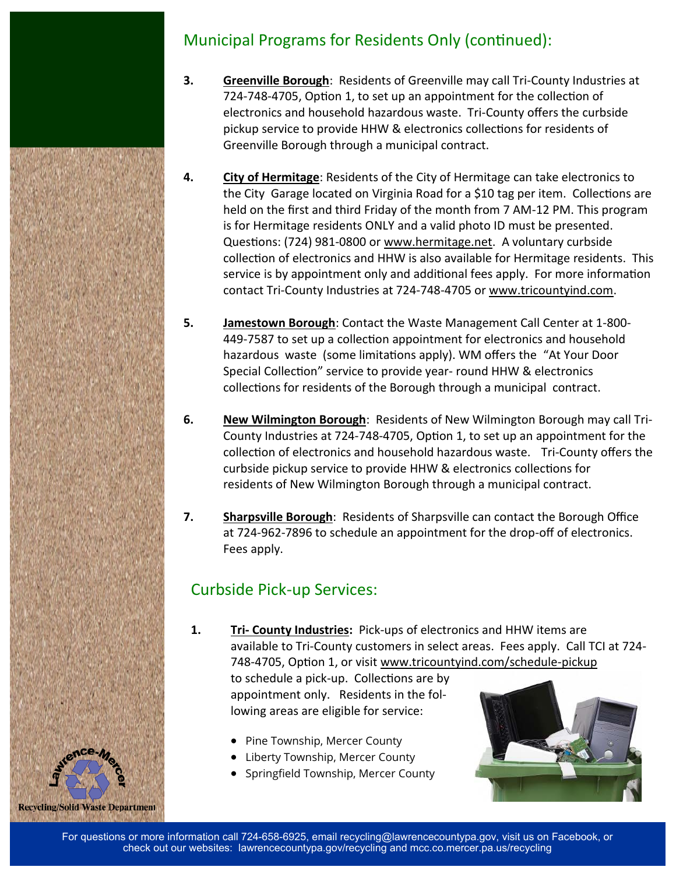## Municipal Programs for Residents Only (continued):

- **3. Greenville Borough**: Residents of Greenville may call Tri-County Industries at 724-748-4705, Option 1, to set up an appointment for the collection of electronics and household hazardous waste. Tri-County offers the curbside pickup service to provide HHW & electronics collections for residents of Greenville Borough through a municipal contract.
- **4. City of Hermitage**: Residents of the City of Hermitage can take electronics to the City Garage located on Virginia Road for a \$10 tag per item. Collections are held on the first and third Friday of the month from 7 AM-12 PM. This program is for Hermitage residents ONLY and a valid photo ID must be presented. Questions: (724) 981-0800 or www.hermitage.net. A voluntary curbside collection of electronics and HHW is also available for Hermitage residents. This service is by appointment only and additional fees apply. For more information contact Tri-County Industries at 724-748-4705 or www.tricountyind.com.
- **5. Jamestown Borough**: Contact the Waste Management Call Center at 1-800- 449-7587 to set up a collection appointment for electronics and household hazardous waste (some limitations apply). WM offers the "At Your Door Special Collection" service to provide year- round HHW & electronics collections for residents of the Borough through a municipal contract.
- **6. New Wilmington Borough**: Residents of New Wilmington Borough may call Tri-County Industries at 724-748-4705, Option 1, to set up an appointment for the collection of electronics and household hazardous waste. Tri-County offers the curbside pickup service to provide HHW & electronics collections for residents of New Wilmington Borough through a municipal contract.
- **7. Sharpsville Borough**: Residents of Sharpsville can contact the Borough Office at 724-962-7896 to schedule an appointment for the drop-off of electronics. Fees apply.

## Curbside Pick-up Services:

**Recycling/Solid Waste Department** 

**1. Tri- County Industries:** Pick-ups of electronics and HHW items are available to Tri-County customers in select areas. Fees apply. Call TCI at 724- 748-4705, Option 1, or visit www.tricountyind.com/schedule-pickup

to schedule a pick-up. Collections are by appointment only. Residents in the following areas are eligible for service:

- Pine Township, Mercer County
- Liberty Township, Mercer County
- Springfield Township, Mercer County

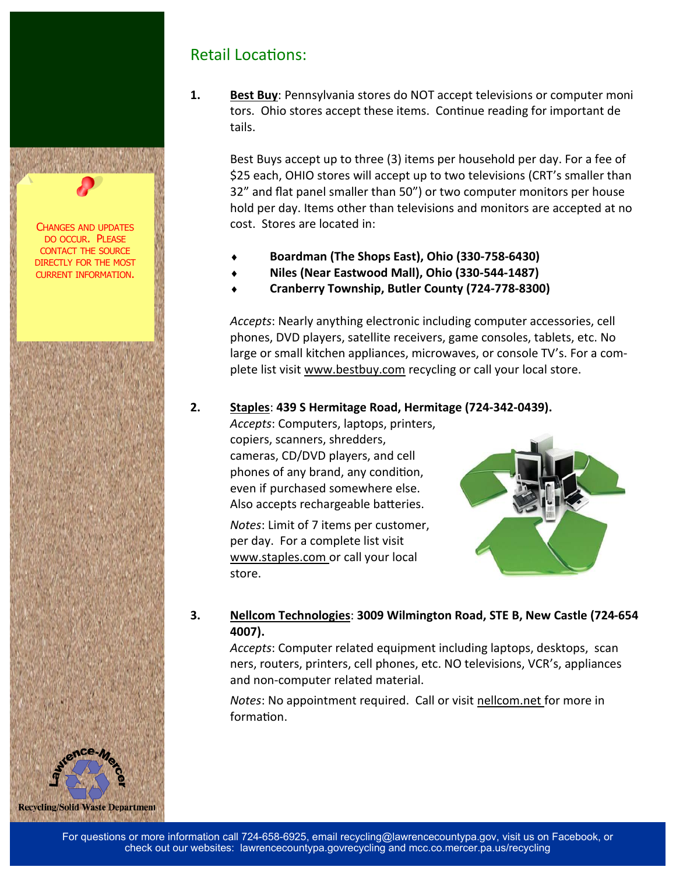

## Retail Locations:

**1. Best Buy**: Pennsylvania stores do NOT accept televisions or computer moni tors. Ohio stores accept these items. Continue reading for important de tails.

Best Buys accept up to three (3) items per household per day. For a fee of \$25 each, OHIO stores will accept up to two televisions (CRT's smaller than 32" and flat panel smaller than 50") or two computer monitors per house hold per day. Items other than televisions and monitors are accepted at no cost. Stores are located in:

- **Boardman (The Shops East), Ohio (330-758-6430)**
- **Niles (Near Eastwood Mall), Ohio (330-544-1487)**
- **Cranberry Township, Butler County (724-778-8300)**

*Accepts*: Nearly anything electronic including computer accessories, cell phones, DVD players, satellite receivers, game consoles, tablets, etc. No large or small kitchen appliances, microwaves, or console TV's. For a complete list visit www.bestbuy.com recycling or call your local store.

#### **2. Staples**: **439 S Hermitage Road, Hermitage (724-342-0439).**

*Accepts*: Computers, laptops, printers, copiers, scanners, shredders, cameras, CD/DVD players, and cell phones of any brand, any condition, even if purchased somewhere else. Also accepts rechargeable batteries.

*Notes*: Limit of 7 items per customer, per day. For a complete list visit [www.staples.com or](http://www.staples.com/) call your local store.



#### **3. Nellcom Technologies**: **3009 Wilmington Road, STE B, New Castle (724-654 4007).**

*Accepts*: Computer related equipment including laptops, desktops, scan ners, routers, printers, cell phones, etc. NO televisions, VCR's, appliances and non-computer related material.

*Notes*: No appointment required. Call or visit nellcom.net for more in formation.